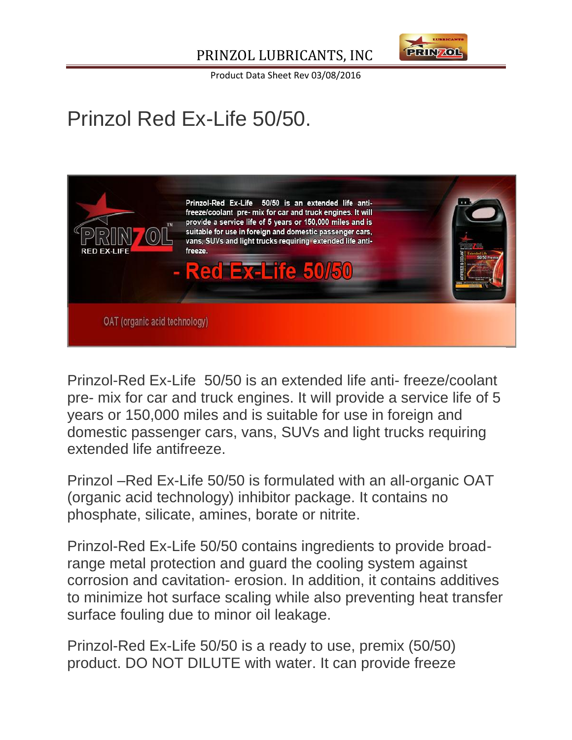

Product Data Sheet Rev 03/08/2016

## Prinzol Red Ex-Life 50/50.



Prinzol-Red Ex-Life 50/50 is an extended life anti- freeze/coolant pre- mix for car and truck engines. It will provide a service life of 5 years or 150,000 miles and is suitable for use in foreign and domestic passenger cars, vans, SUVs and light trucks requiring extended life antifreeze.

Prinzol –Red Ex-Life 50/50 is formulated with an all-organic OAT (organic acid technology) inhibitor package. It contains no phosphate, silicate, amines, borate or nitrite.

Prinzol-Red Ex-Life 50/50 contains ingredients to provide broadrange metal protection and guard the cooling system against corrosion and cavitation- erosion. In addition, it contains additives to minimize hot surface scaling while also preventing heat transfer surface fouling due to minor oil leakage.

Prinzol-Red Ex-Life 50/50 is a ready to use, premix (50/50) product. DO NOT DILUTE with water. It can provide freeze